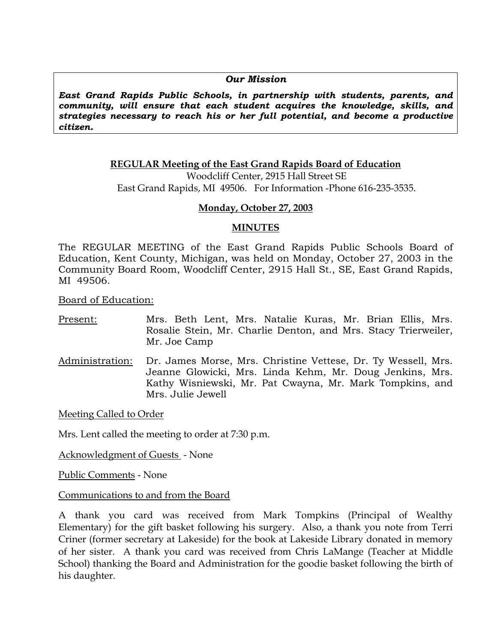#### *Our Mission*

*East Grand Rapids Public Schools, in partnership with students, parents, and community, will ensure that each student acquires the knowledge, skills, and strategies necessary to reach his or her full potential, and become a productive citizen.* 

#### **REGULAR Meeting of the East Grand Rapids Board of Education** Woodcliff Center, 2915 Hall Street SE East Grand Rapids, MI 49506. For Information -Phone 616-235-3535.

### **Monday, October 27, 2003**

#### **MINUTES**

The REGULAR MEETING of the East Grand Rapids Public Schools Board of Education, Kent County, Michigan, was held on Monday, October 27, 2003 in the Community Board Room, Woodcliff Center, 2915 Hall St., SE, East Grand Rapids, MI 49506.

Board of Education:

- Present: Mrs. Beth Lent, Mrs. Natalie Kuras, Mr. Brian Ellis, Mrs. Rosalie Stein, Mr. Charlie Denton, and Mrs. Stacy Trierweiler, Mr. Joe Camp
- Administration: Dr. James Morse, Mrs. Christine Vettese, Dr. Ty Wessell, Mrs. Jeanne Glowicki, Mrs. Linda Kehm, Mr. Doug Jenkins, Mrs. Kathy Wisniewski, Mr. Pat Cwayna, Mr. Mark Tompkins, and Mrs. Julie Jewell

Meeting Called to Order

Mrs. Lent called the meeting to order at 7:30 p.m.

Acknowledgment of Guests - None

Public Comments - None

Communications to and from the Board

A thank you card was received from Mark Tompkins (Principal of Wealthy Elementary) for the gift basket following his surgery. Also, a thank you note from Terri Criner (former secretary at Lakeside) for the book at Lakeside Library donated in memory of her sister. A thank you card was received from Chris LaMange (Teacher at Middle School) thanking the Board and Administration for the goodie basket following the birth of his daughter.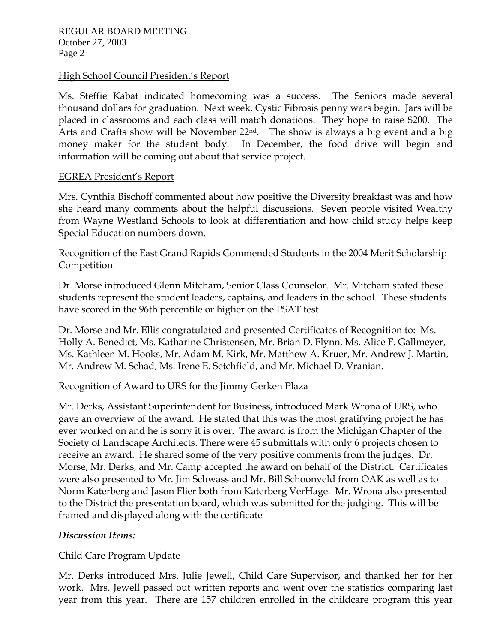### High School Council President's Report

Ms. Steffie Kabat indicated homecoming was a success. The Seniors made several thousand dollars for graduation. Next week, Cystic Fibrosis penny wars begin. Jars will be placed in classrooms and each class will match donations. They hope to raise \$200. The Arts and Crafts show will be November 22nd. The show is always a big event and a big money maker for the student body. In December, the food drive will begin and information will be coming out about that service project.

### EGREA President's Report

Mrs. Cynthia Bischoff commented about how positive the Diversity breakfast was and how she heard many comments about the helpful discussions. Seven people visited Wealthy from Wayne Westland Schools to look at differentiation and how child study helps keep Special Education numbers down.

### Recognition of the East Grand Rapids Commended Students in the 2004 Merit Scholarship Competition

Dr. Morse introduced Glenn Mitcham, Senior Class Counselor. Mr. Mitcham stated these students represent the student leaders, captains, and leaders in the school. These students have scored in the 96th percentile or higher on the PSAT test

Dr. Morse and Mr. Ellis congratulated and presented Certificates of Recognition to: Ms. Holly A. Benedict, Ms. Katharine Christensen, Mr. Brian D. Flynn, Ms. Alice F. Gallmeyer, Ms. Kathleen M. Hooks, Mr. Adam M. Kirk, Mr. Matthew A. Kruer, Mr. Andrew J. Martin, Mr. Andrew M. Schad, Ms. Irene E. Setchfield, and Mr. Michael D. Vranian.

## Recognition of Award to URS for the Jimmy Gerken Plaza

Mr. Derks, Assistant Superintendent for Business, introduced Mark Wrona of URS, who gave an overview of the award. He stated that this was the most gratifying project he has ever worked on and he is sorry it is over. The award is from the Michigan Chapter of the Society of Landscape Architects. There were 45 submittals with only 6 projects chosen to receive an award. He shared some of the very positive comments from the judges. Dr. Morse, Mr. Derks, and Mr. Camp accepted the award on behalf of the District. Certificates were also presented to Mr. Jim Schwass and Mr. Bill Schoonveld from OAK as well as to Norm Katerberg and Jason Flier both from Katerberg VerHage. Mr. Wrona also presented to the District the presentation board, which was submitted for the judging. This will be framed and displayed along with the certificate

### *Discussion Items:*

## Child Care Program Update

Mr. Derks introduced Mrs. Julie Jewell, Child Care Supervisor, and thanked her for her work. Mrs. Jewell passed out written reports and went over the statistics comparing last year from this year. There are 157 children enrolled in the childcare program this year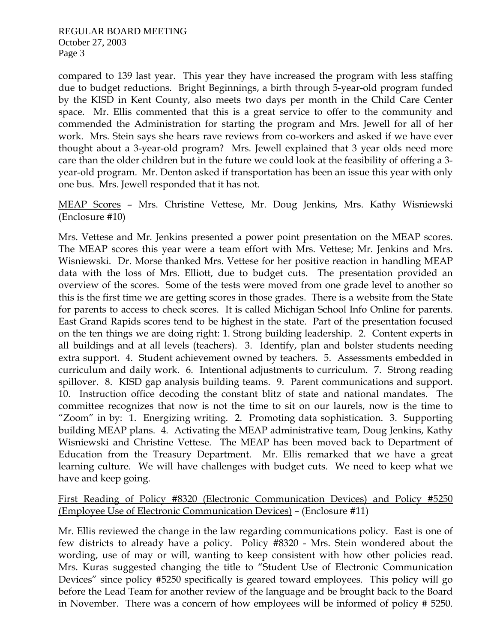compared to 139 last year. This year they have increased the program with less staffing due to budget reductions. Bright Beginnings, a birth through 5-year-old program funded by the KISD in Kent County, also meets two days per month in the Child Care Center space. Mr. Ellis commented that this is a great service to offer to the community and commended the Administration for starting the program and Mrs. Jewell for all of her work. Mrs. Stein says she hears rave reviews from co-workers and asked if we have ever thought about a 3-year-old program? Mrs. Jewell explained that 3 year olds need more care than the older children but in the future we could look at the feasibility of offering a 3 year-old program. Mr. Denton asked if transportation has been an issue this year with only one bus. Mrs. Jewell responded that it has not.

MEAP Scores – Mrs. Christine Vettese, Mr. Doug Jenkins, Mrs. Kathy Wisniewski (Enclosure #10)

Mrs. Vettese and Mr. Jenkins presented a power point presentation on the MEAP scores. The MEAP scores this year were a team effort with Mrs. Vettese; Mr. Jenkins and Mrs. Wisniewski. Dr. Morse thanked Mrs. Vettese for her positive reaction in handling MEAP data with the loss of Mrs. Elliott, due to budget cuts. The presentation provided an overview of the scores. Some of the tests were moved from one grade level to another so this is the first time we are getting scores in those grades. There is a website from the State for parents to access to check scores. It is called Michigan School Info Online for parents. East Grand Rapids scores tend to be highest in the state. Part of the presentation focused on the ten things we are doing right: 1. Strong building leadership. 2. Content experts in all buildings and at all levels (teachers). 3. Identify, plan and bolster students needing extra support. 4. Student achievement owned by teachers. 5. Assessments embedded in curriculum and daily work. 6. Intentional adjustments to curriculum. 7. Strong reading spillover. 8. KISD gap analysis building teams. 9. Parent communications and support. 10. Instruction office decoding the constant blitz of state and national mandates. The committee recognizes that now is not the time to sit on our laurels, now is the time to "Zoom" in by: 1. Energizing writing. 2. Promoting data sophistication. 3. Supporting building MEAP plans. 4. Activating the MEAP administrative team, Doug Jenkins, Kathy Wisniewski and Christine Vettese. The MEAP has been moved back to Department of Education from the Treasury Department. Mr. Ellis remarked that we have a great learning culture. We will have challenges with budget cuts. We need to keep what we have and keep going.

First Reading of Policy #8320 (Electronic Communication Devices) and Policy #5250 (Employee Use of Electronic Communication Devices) – (Enclosure #11)

Mr. Ellis reviewed the change in the law regarding communications policy. East is one of few districts to already have a policy. Policy #8320 - Mrs. Stein wondered about the wording, use of may or will, wanting to keep consistent with how other policies read. Mrs. Kuras suggested changing the title to "Student Use of Electronic Communication Devices" since policy #5250 specifically is geared toward employees. This policy will go before the Lead Team for another review of the language and be brought back to the Board in November. There was a concern of how employees will be informed of policy # 5250.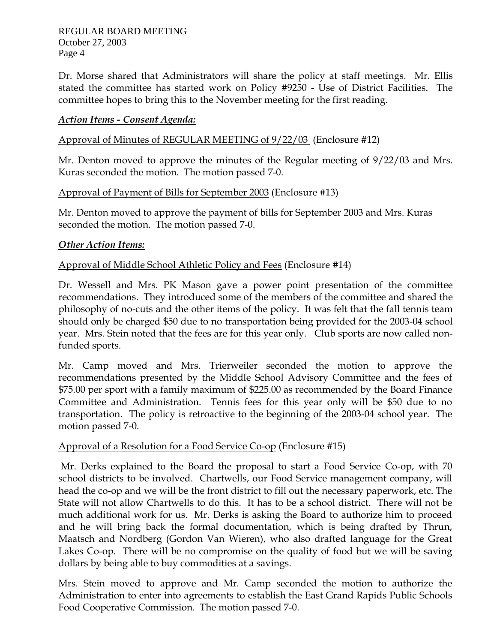Dr. Morse shared that Administrators will share the policy at staff meetings. Mr. Ellis stated the committee has started work on Policy #9250 - Use of District Facilities. The committee hopes to bring this to the November meeting for the first reading.

### *Action Items - Consent Agenda:*

#### Approval of Minutes of REGULAR MEETING of 9/22/03 (Enclosure #12)

Mr. Denton moved to approve the minutes of the Regular meeting of 9/22/03 and Mrs. Kuras seconded the motion. The motion passed 7-0.

### Approval of Payment of Bills for September 2003 (Enclosure #13)

Mr. Denton moved to approve the payment of bills for September 2003 and Mrs. Kuras seconded the motion. The motion passed 7-0.

### *Other Action Items:*

### Approval of Middle School Athletic Policy and Fees (Enclosure #14)

Dr. Wessell and Mrs. PK Mason gave a power point presentation of the committee recommendations. They introduced some of the members of the committee and shared the philosophy of no-cuts and the other items of the policy. It was felt that the fall tennis team should only be charged \$50 due to no transportation being provided for the 2003-04 school year. Mrs. Stein noted that the fees are for this year only. Club sports are now called nonfunded sports.

Mr. Camp moved and Mrs. Trierweiler seconded the motion to approve the recommendations presented by the Middle School Advisory Committee and the fees of \$75.00 per sport with a family maximum of \$225.00 as recommended by the Board Finance Committee and Administration. Tennis fees for this year only will be \$50 due to no transportation. The policy is retroactive to the beginning of the 2003-04 school year. The motion passed 7-0.

### Approval of a Resolution for a Food Service Co-op (Enclosure #15)

 Mr. Derks explained to the Board the proposal to start a Food Service Co-op, with 70 school districts to be involved. Chartwells, our Food Service management company, will head the co-op and we will be the front district to fill out the necessary paperwork, etc. The State will not allow Chartwells to do this. It has to be a school district. There will not be much additional work for us. Mr. Derks is asking the Board to authorize him to proceed and he will bring back the formal documentation, which is being drafted by Thrun, Maatsch and Nordberg (Gordon Van Wieren), who also drafted language for the Great Lakes Co-op. There will be no compromise on the quality of food but we will be saving dollars by being able to buy commodities at a savings.

Mrs. Stein moved to approve and Mr. Camp seconded the motion to authorize the Administration to enter into agreements to establish the East Grand Rapids Public Schools Food Cooperative Commission. The motion passed 7-0.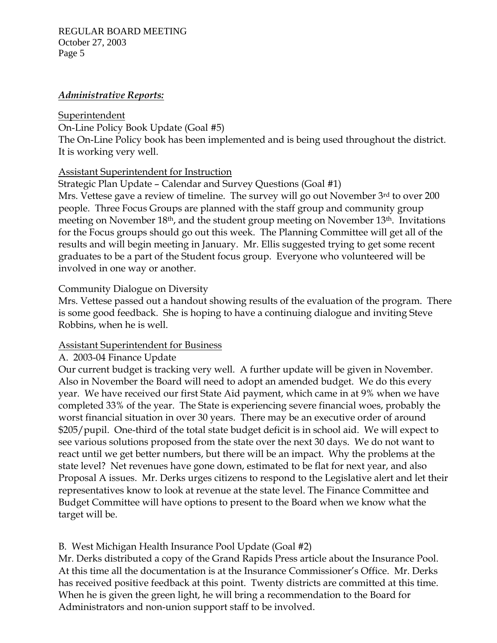#### REGULAR BOARD MEETING October 27, 2003 Page 5

### *Administrative Reports:*

### Superintendent

On-Line Policy Book Update (Goal #5) The On-Line Policy book has been implemented and is being used throughout the district. It is working very well.

## Assistant Superintendent for Instruction

Strategic Plan Update – Calendar and Survey Questions (Goal #1)

Mrs. Vettese gave a review of timeline. The survey will go out November 3rd to over 200 people. Three Focus Groups are planned with the staff group and community group meeting on November 18th, and the student group meeting on November 13th. Invitations for the Focus groups should go out this week. The Planning Committee will get all of the results and will begin meeting in January. Mr. Ellis suggested trying to get some recent graduates to be a part of the Student focus group. Everyone who volunteered will be involved in one way or another.

## Community Dialogue on Diversity

Mrs. Vettese passed out a handout showing results of the evaluation of the program. There is some good feedback. She is hoping to have a continuing dialogue and inviting Steve Robbins, when he is well.

## Assistant Superintendent for Business

## A. 2003-04 Finance Update

Our current budget is tracking very well. A further update will be given in November. Also in November the Board will need to adopt an amended budget. We do this every year. We have received our first State Aid payment, which came in at 9% when we have completed 33% of the year. The State is experiencing severe financial woes, probably the worst financial situation in over 30 years. There may be an executive order of around \$205/pupil. One-third of the total state budget deficit is in school aid. We will expect to see various solutions proposed from the state over the next 30 days. We do not want to react until we get better numbers, but there will be an impact. Why the problems at the state level? Net revenues have gone down, estimated to be flat for next year, and also Proposal A issues. Mr. Derks urges citizens to respond to the Legislative alert and let their representatives know to look at revenue at the state level. The Finance Committee and Budget Committee will have options to present to the Board when we know what the target will be.

# B. West Michigan Health Insurance Pool Update (Goal #2)

Mr. Derks distributed a copy of the Grand Rapids Press article about the Insurance Pool. At this time all the documentation is at the Insurance Commissioner's Office. Mr. Derks has received positive feedback at this point. Twenty districts are committed at this time. When he is given the green light, he will bring a recommendation to the Board for Administrators and non-union support staff to be involved.